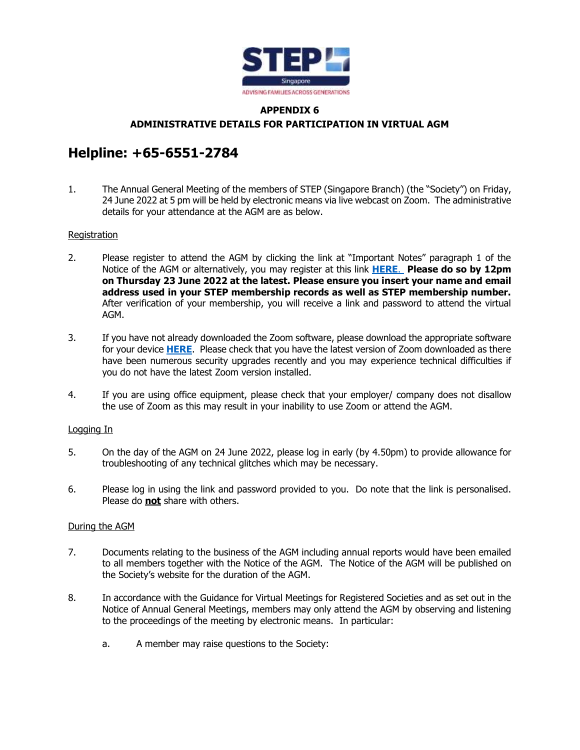

## **APPENDIX 6 ADMINISTRATIVE DETAILS FOR PARTICIPATION IN VIRTUAL AGM**

# **Helpline: +65-6551-2784**

1. The Annual General Meeting of the members of STEP (Singapore Branch) (the "Society") on Friday, 24 June 2022 at 5 pm will be held by electronic means via live webcast on Zoom. The administrative details for your attendance at the AGM are as below.

### **Registration**

- 2. Please register to attend the AGM by clicking the link at "Important Notes" paragraph 1 of the Notice of the AGM or alternatively, you may register at this link **[HERE](https://us02web.zoom.us/webinar/register/WN_MUnoFgE-S9eYiQwIM9iH1w)**. **Please do so by 12pm on Thursday 23 June 2022 at the latest. Please ensure you insert your name and email address used in your STEP membership records as well as STEP membership number.** After verification of your membership, you will receive a link and password to attend the virtual AGM.
- 3. If you have not already downloaded the Zoom software, please download the appropriate software for your device **[HERE](https://zoom.us/download#client_4meeting)**. Please check that you have the latest version of Zoom downloaded as there have been numerous security upgrades recently and you may experience technical difficulties if you do not have the latest Zoom version installed.
- 4. If you are using office equipment, please check that your employer/ company does not disallow the use of Zoom as this may result in your inability to use Zoom or attend the AGM.

### Logging In

- 5. On the day of the AGM on 24 June 2022, please log in early (by 4.50pm) to provide allowance for troubleshooting of any technical glitches which may be necessary.
- 6. Please log in using the link and password provided to you. Do note that the link is personalised. Please do **not** share with others.

#### During the AGM

- 7. Documents relating to the business of the AGM including annual reports would have been emailed to all members together with the Notice of the AGM. The Notice of the AGM will be published on the Society's website for the duration of the AGM.
- 8. In accordance with the Guidance for Virtual Meetings for Registered Societies and as set out in the Notice of Annual General Meetings, members may only attend the AGM by observing and listening to the proceedings of the meeting by electronic means. In particular:
	- a. A member may raise questions to the Society: